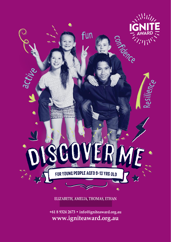

ELIZABETH, AMELIA, THOMAS, ETHAN

+61 8 9324 2673 · info@igniteaward.org.au www.igniteaward.org.au